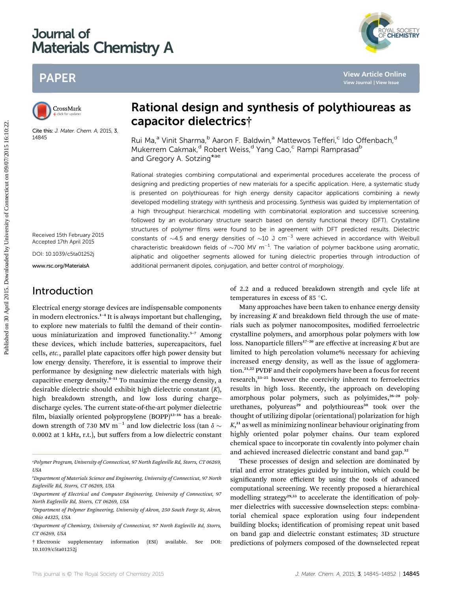# Journal of Materials Chemistry A

# PAPER



Cite this: J. Mater. Chem. A, 2015, 3, 14845

# Rational design and synthesis of polythioureas as capacitor dielectrics†

Rui Ma,<sup>a</sup> Vinit Sharma,<sup>b</sup> Aaron F. Baldwin,<sup>a</sup> Mattewos Tefferi,<sup>c</sup> Ido Offenbach,<sup>d</sup> Mukerrem Cakmak,<sup>d</sup> Robert Weiss,<sup>d</sup> Yang Cao,<sup>c</sup> Rampi Ramprasad<sup>b</sup> and Gregory A. Sotzing\*ae

Rational strategies combining computational and experimental procedures accelerate the process of designing and predicting properties of new materials for a specific application. Here, a systematic study is presented on polythioureas for high energy density capacitor applications combining a newly developed modelling strategy with synthesis and processing. Synthesis was guided by implementation of a high throughput hierarchical modelling with combinatorial exploration and successive screening, followed by an evolutionary structure search based on density functional theory (DFT). Crystalline structures of polymer films were found to be in agreement with DFT predicted results. Dielectric constants of  $\sim$ 4.5 and energy densities of  $\sim$ 10 J cm<sup>-3</sup> were achieved in accordance with Weibull characteristic breakdown fields of  $\sim$ 700 MV m<sup>-1</sup>. The variation of polymer backbone using aromatic, aliphatic and oligoether segments allowed for tuning dielectric properties through introduction of additional permanent dipoles, conjugation, and better control of morphology. PAPER<br>
Considerate and the connection of **Connecticut on 30 Apple 11** Apple 2015.<br>
Capacitor dietectrics<sup>†</sup><br>
Rul Ma<sup>x</sup> Vinit Sharma<sup>1,</sup> Aaron F. Baldwin,<sup>4</sup> Matewos Tefferi, "Ido Offenbech,<sup>4</sup><br>
1934.<br>
Mukerrem Cakimak<sup>1</sup> R

Received 15th February 2015 Accepted 17th April 2015

DOI: 10.1039/c5ta01252j

www.rsc.org/MaterialsA

# Introduction

Electrical energy storage devices are indispensable components in modern electronics.<sup>1-4</sup> It is always important but challenging, to explore new materials to fulfil the demand of their continuous miniaturization and improved functionality.<sup>5</sup>–<sup>7</sup> Among these devices, which include batteries, supercapacitors, fuel cells, etc., parallel plate capacitors offer high power density but low energy density. Therefore, it is essential to improve their performance by designing new dielectric materials with high capacitive energy density.<sup>8</sup>–<sup>11</sup> To maximize the energy density, a desirable dielectric should exhibit high dielectric constant  $(K)$ , high breakdown strength, and low loss during charge– discharge cycles. The current state-of-the-art polymer dielectric film, biaxially oriented polypropylene (BOPP)<sup>12-16</sup> has a breakdown strength of 730 MV  $m^{-1}$  and low dielectric loss (tan  $\delta \sim$ 0.0002 at 1 kHz, r.t.), but suffers from a low dielectric constant

† Electronic supplementary information (ESI) available. See DOI: 10.1039/c5ta01252j

of 2.2 and a reduced breakdown strength and cycle life at temperatures in excess of 85 $\degree$ C.

Many approaches have been taken to enhance energy density by increasing  $K$  and breakdown field through the use of materials such as polymer nanocomposites, modified ferroelectric crystalline polymers, and amorphous polar polymers with low loss. Nanoparticle fillers<sup>17-20</sup> are effective at increasing  $K$  but are limited to high percolation volume% necessary for achieving increased energy density, as well as the issue of agglomeration.21,22 PVDF and their copolymers have been a focus for recent research,<sup>23-25</sup> however the coercivity inherent to ferroelectrics results in high loss. Recently, the approach on developing amorphous polar polymers, such as polyimides,<sup>26-28</sup> polyurethanes, polyureas<sup>29</sup> and polythioureas<sup>30</sup> took over the thought of utilizing dipolar (orientational) polarization for high K, <sup>31</sup> as well as minimizing nonlinear behaviour originating from highly oriented polar polymer chains. Our team explored chemical space to incorporate tin covalently into polymer chain and achieved increased dielectric constant and band gap.<sup>32</sup>

These processes of design and selection are dominated by trial and error strategies guided by intuition, which could be significantly more efficient by using the tools of advanced computational screening. We recently proposed a hierarchical modelling strategy<sup>29,33</sup> to accelerate the identification of polymer dielectrics with successive downselection steps: combinatorial chemical space exploration using four independent building blocks; identification of promising repeat unit based on band gap and dielectric constant estimates; 3D structure predictions of polymers composed of the downselected repeat



a Polymer Program, University of Connecticut, 97 North Eagleville Rd, Storrs, CT 06269, USA

b Department of Materials Science and Engineering, University of Connecticut, 97 North Eagleville Rd, Storrs, CT 06269, USA

c Department of Electrical and Computer Engineering, University of Connecticut, 97 North Eagleville Rd, Storrs, CT 06269, USA

d Department of Polymer Engineering, University of Akron, 250 South Forge St, Akron, Ohio 44325, USA

e Department of Chemistry, University of Connecticut, 97 North Eagleville Rd, Storrs, CT 06269, USA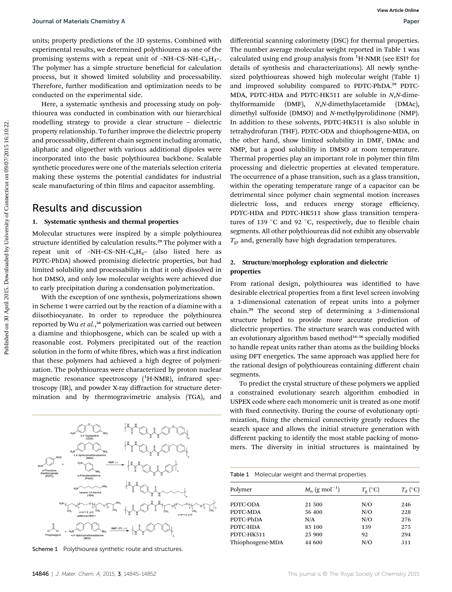units; property predictions of the 3D systems. Combined with experimental results, we determined polythiourea as one of the promising systems with a repeat unit of –NH–CS–NH–C $_{6}H_{4}$ –. The polymer has a simple structure beneficial for calculation process, but it showed limited solubility and processability. Therefore, further modification and optimization needs to be conducted on the experimental side.

Here, a systematic synthesis and processing study on polythiourea was conducted in combination with our hierarchical modelling strategy to provide a clear structure – dielectric property relationship. To further improve the dielectric property and processability, different chain segment including aromatic, aliphatic and oligoether with various additional dipoles were incorporated into the basic polythiourea backbone. Scalable synthetic procedures were one of the materials selection criteria making these systems the potential candidates for industrial scale manufacturing of thin films and capacitor assembling.

### Results and discussion

### 1. Systematic synthesis and thermal properties

Molecular structures were inspired by a simple polythiourea structure identified by calculation results.<sup>29</sup> The polymer with a repeat unit of –NH–CS–NH–C $_6$ H<sub>4</sub>– (also listed here as PDTC-PhDA) showed promising dielectric properties, but had limited solubility and processability in that it only dissolved in hot DMSO, and only low molecular weights were achieved due to early precipitation during a condensation polymerization.

With the exception of one synthesis, polymerizations shown in Scheme 1 were carried out by the reaction of a diamine with a diisothiocyanate. In order to reproduce the polythiourea reported by Wu et al.,<sup>30</sup> polymerization was carried out between a diamine and thiophosgene, which can be scaled up with a reasonable cost. Polymers precipitated out of the reaction solution in the form of white fibres, which was a first indication that these polymers had achieved a high degree of polymerization. The polythioureas were characterized by proton nuclear magnetic resonance spectroscopy (<sup>1</sup>H-NMR), infrared spectroscopy (IR), and powder X-ray diffraction for structure determination and by thermogravimetric analysis (TGA), and



Scheme 1 Polythiourea synthetic route and structures

differential scanning calorimetry (DSC) for thermal properties. The number average molecular weight reported in Table 1 was calculated using end group analysis from <sup>1</sup>H-NMR (see ESI<sup>†</sup> for details of synthesis and characterizations). All newly synthesized polythioureas showed high molecular weight (Table 1) and improved solubility compared to PDTC-PhDA.<sup>29</sup> PDTC-MDA, PDTC-HDA and PDTC-HK511 are soluble in N,N-dimethylformamide (DMF), N,N-dimethylacetamide (DMAc), dimethyl sulfoxide (DMSO) and N-methylpyrolidinone (NMP). In addition to these solvents, PDTC-HK511 is also soluble in tetrahydrofuran (THF). PDTC-ODA and thiophosgene-MDA, on the other hand, show limited solubility in DMF, DMAc and NMP, but a good solubility in DMSO at room temperature. Thermal properties play an important role in polymer thin film processing and dielectric properties at elevated temperature. The occurrence of a phase transition, such as a glass transition, within the operating temperature range of a capacitor can be detrimental since polymer chain segmental motion increases dielectric loss, and reduces energy storage efficiency. PDTC-HDA and PDTC-HK511 show glass transition temperatures of 139 °C and 92 °C, respectively, due to flexible chain segments. All other polythioureas did not exhibit any observable  $T_{\text{g}}$ , and, generally have high degradation temperatures. Journal of Meterish Chemistry A<br>
the space of the 20 appear on 2018. The space of the 2018 and the space of the connecticut on 2018 and the space of Connecticut on 2018. The properties are connected by University of Connec

### 2. Structure/morphology exploration and dielectric properties

From rational design, polythiourea was identified to have desirable electrical properties from a first level screen involving a 1-dimensional catenation of repeat units into a polymer chain.<sup>29</sup> The second step of determining a 3-dimensional structure helped to provide more accurate prediction of dielectric properties. The structure search was conducted with an evolutionary algorithm based method<sup>34-36</sup> specially modified to handle repeat units rather than atoms as the building blocks using DFT energetics. The same approach was applied here for the rational design of polythioureas containing different chain segments.

To predict the crystal structure of these polymers we applied a constrained evolutionary search algorithm embodied in USPEX code where each monomeric unit is treated as one motif with fixed connectivity. During the course of evolutionary optimization, fixing the chemical connectivity greatly reduces the search space and allows the initial structure generation with different packing to identify the most stable packing of monomers. The diversity in initial structures is maintained by

Table 1 Molecular weight and thermal properties

| Polymer          | $M_{\rm n}$ (g mol <sup>-1</sup> ) | $T_{\rm g}$ (°C) | $T_{\rm d}$ (°C) |
|------------------|------------------------------------|------------------|------------------|
| PDTC-ODA         | 21 500                             | N/O              | 246              |
| PDTC-MDA         | 56 400                             | N/O              | 228              |
| PDTC-PhDA        | N/A                                | N/O              | 276              |
| PDTC-HDA         | 85 100                             | 139              | 275              |
| PDTC-HK511       | 25 900                             | 92               | 294              |
| Thiophosgene-MDA | 44 600                             | N/O              | 311              |
|                  |                                    |                  |                  |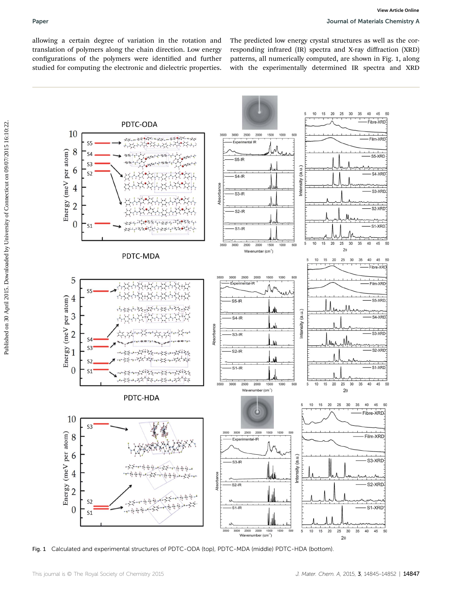allowing a certain degree of variation in the rotation and translation of polymers along the chain direction. Low energy configurations of the polymers were identified and further studied for computing the electronic and dielectric properties.

The predicted low energy crystal structures as well as the corresponding infrared (IR) spectra and X-ray diffraction (XRD) patterns, all numerically computed, are shown in Fig. 1, along with the experimentally determined IR spectra and XRD



Fig. 1 Calculated and experimental structures of PDTC-ODA (top), PDTC-MDA (middle) PDTC-HDA (bottom).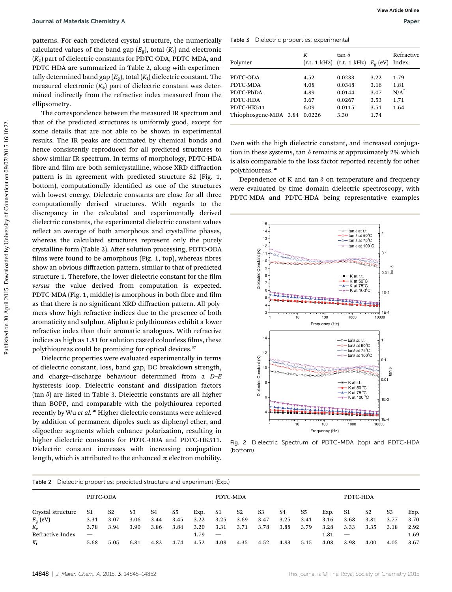patterns. For each predicted crystal structure, the numerically calculated values of the band gap  $(E_{\rm g})$ , total  $(K_{\rm t})$  and electronic  $(K_e)$  part of dielectric constants for PDTC-ODA, PDTC-MDA, and PDTC-HDA are summarized in Table 2, along with experimentally determined band gap  $(E_{g})$ , total  $(K_{t})$  dielectric constant. The measured electronic  $(K_e)$  part of dielectric constant was determined indirectly from the refractive index measured from the ellipsometry.

The correspondence between the measured IR spectrum and that of the predicted structures is uniformly good, except for some details that are not able to be shown in experimental results. The IR peaks are dominated by chemical bonds and hence consistently reproduced for all predicted structures to show similar IR spectrum. In terms of morphology, PDTC-HDA fibre and film are both semicrystalline, whose XRD diffraction pattern is in agreement with predicted structure S2 (Fig. 1, bottom), computationally identified as one of the structures with lowest energy. Dielectric constants are close for all three computationally derived structures. With regards to the discrepancy in the calculated and experimentally derived dielectric constants, the experimental dielectric constant values reflect an average of both amorphous and crystalline phases, whereas the calculated structures represent only the purely crystalline form (Table 2). After solution processing, PDTC-ODA films were found to be amorphous (Fig. 1, top), whereas fibres show an obvious diffraction pattern, similar to that of predicted structure 1. Therefore, the lower dielectric constant for the film versus the value derived from computation is expected. PDTC-MDA (Fig. 1, middle) is amorphous in both fibre and film as that there is no significant XRD diffraction pattern. All polymers show high refractive indices due to the presence of both aromaticity and sulphur. Aliphatic polythioureas exhibit a lower refractive index than their aromatic analogues. With refractive indices as high as 1.81 for solution casted colourless films, these polythioureas could be promising for optical devices.<sup>37</sup> **Dourmal of Meterishe Chemistry As** Workers (by the strength of the strength on 30 April 2015. The main of the connecticut of the strength of the connecticut of Connecticut on 2015. The connecticut of Connecticut on 2015.

Dielectric properties were evaluated experimentally in terms of dielectric constant, loss, band gap, DC breakdown strength, and charge–discharge behaviour determined from a D–E hysteresis loop. Dielectric constant and dissipation factors  $(tan \delta)$  are listed in Table 3. Dielectric constants are all higher than BOPP, and comparable with the polythiourea reported recently by Wu et al.<sup>30</sup> Higher dielectric constants were achieved by addition of permanent dipoles such as diphenyl ether, and oligoether segments which enhance polarization, resulting in higher dielectric constants for PDTC-ODA and PDTC-HK511. Dielectric constant increases with increasing conjugation length, which is attributed to the enhanced  $\pi$  electron mobility.

Table 3 Dielectric properties, experimental

|                       | K      | tan $\delta$                               |      | Refractive |
|-----------------------|--------|--------------------------------------------|------|------------|
| Polymer               |        | $(r.t. 1 kHz)$ $(r.t. 1 kHz)$ $E_g$ $(eV)$ |      | Index      |
| PDTC-ODA              | 4.52   | 0.0233                                     | 3.22 | 1.79       |
| PDTC-MDA              | 4.08   | 0.0348                                     | 3.16 | 1.81       |
| PDTC-PhDA             | 4.89   | 0.0144                                     | 3.07 | $N/A^"$    |
| PDTC-HDA              | 3.67   | 0.0267                                     | 3.53 | 1.71       |
| PDTC-HK511            | 6.09   | 0.0115                                     | 3.51 | 1.64       |
| Thiophosgene-MDA 3.84 | 0.0226 | 3.30                                       | 1.74 |            |

Even with the high dielectric constant, and increased conjugation in these systems, tan  $\delta$  remains at approximately 2% which is also comparable to the loss factor reported recently for other polythioureas.<sup>30</sup>

Dependence of K and tan  $\delta$  on temperature and frequency were evaluated by time domain dielectric spectroscopy, with PDTC-MDA and PDTC-HDA being representative examples



Fig. 2 Dielectric Spectrum of PDTC-MDA (top) and PDTC-HDA (bottom).

| Dielectric properties: predicted structure and experiment (Exp.)<br>Table 2 |          |      |      |      |          |      |      |      |          |      |      |      |      |      |      |      |
|-----------------------------------------------------------------------------|----------|------|------|------|----------|------|------|------|----------|------|------|------|------|------|------|------|
|                                                                             | PDTC-ODA |      |      |      | PDTC-MDA |      |      |      | PDTC-HDA |      |      |      |      |      |      |      |
| Crystal structure                                                           | S1       | S2   | S3   | S4   | S5       | Exp. | S1   | S2   | S3       | S4   | S5   | Exp. | - S1 | S2   | S3   | Exp. |
| $E_{\rm g}$ (eV)                                                            | 3.31     | 3.07 | 3.06 | 3.44 | 3.45     | 3.22 | 3.25 | 3.69 | 3.47     | 3.25 | 3.41 | 3.16 | 3.68 | 3.81 | 3.77 | 3.70 |
| $K_{\rm e}$                                                                 | 3.78     | 3.94 | 3.90 | 3.86 | 3.84     | 3.20 | 3.31 | 3.71 | 3.78     | 3.88 | 3.79 | 3.28 | 3.33 | 3.35 | 3.18 | 2.92 |
| Refractive Index                                                            | —        |      |      |      |          | 1.79 |      |      |          |      |      | 1.81 |      |      |      | 1.69 |
| $K_{\rm t}$                                                                 | 5.68     | 5.05 | 6.81 | 4.82 | 4.74     | 4.52 | 4.08 | 4.35 | 4.52     | 4.83 | 5.15 | 4.08 | 3.98 | 4.00 | 4.05 | 3.67 |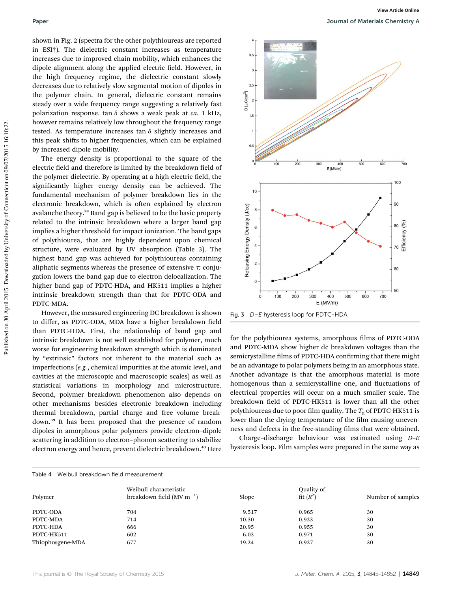shown in Fig. 2 (spectra for the other polythioureas are reported in ESI†). The dielectric constant increases as temperature increases due to improved chain mobility, which enhances the dipole alignment along the applied electric field. However, in the high frequency regime, the dielectric constant slowly decreases due to relatively slow segmental motion of dipoles in the polymer chain. In general, dielectric constant remains steady over a wide frequency range suggesting a relatively fast polarization response. tan  $\delta$  shows a weak peak at ca. 1 kHz, however remains relatively low throughout the frequency range tested. As temperature increases tan  $\delta$  slightly increases and this peak shifts to higher frequencies, which can be explained by increased dipole mobility.

The energy density is proportional to the square of the electric field and therefore is limited by the breakdown field of the polymer dielectric. By operating at a high electric field, the significantly higher energy density can be achieved. The fundamental mechanism of polymer breakdown lies in the electronic breakdown, which is often explained by electron avalanche theory.<sup>38</sup> Band gap is believed to be the basic property related to the intrinsic breakdown where a larger band gap implies a higher threshold for impact ionization. The band gaps of polythiourea, that are highly dependent upon chemical structure, were evaluated by UV absorption (Table 3). The highest band gap was achieved for polythioureas containing aliphatic segments whereas the presence of extensive  $\pi$  conjugation lowers the band gap due to electron delocalization. The higher band gap of PDTC-HDA, and HK511 implies a higher intrinsic breakdown strength than that for PDTC-ODA and PDTC-MDA.

However, the measured engineering DC breakdown is shown to differ, as PDTC-ODA, MDA have a higher breakdown field than PDTC-HDA. First, the relationship of band gap and intrinsic breakdown is not well established for polymer, much worse for engineering breakdown strength which is dominated by "extrinsic" factors not inherent to the material such as imperfections (e.g., chemical impurities at the atomic level, and cavities at the microscopic and macroscopic scales) as well as statistical variations in morphology and microstructure. Second, polymer breakdown phenomenon also depends on other mechanisms besides electronic breakdown including thermal breakdown, partial charge and free volume breakdown.<sup>39</sup> It has been proposed that the presence of random dipoles in amorphous polar polymers provide electron–dipole scattering in addition to electron–phonon scattering to stabilize electron energy and hence, prevent dielectric breakdown.<sup>40</sup> Here



Fig. 3 D-E hysteresis loop for PDTC-HDA.

for the polythiourea systems, amorphous films of PDTC-ODA and PDTC-MDA show higher dc breakdown voltages than the semicrystalline films of PDTC-HDA confirming that there might be an advantage to polar polymers being in an amorphous state. Another advantage is that the amorphous material is more homogenous than a semicrystalline one, and fluctuations of electrical properties will occur on a much smaller scale. The breakdown field of PDTC-HK511 is lower than all the other polythioureas due to poor film quality. The  $T_{\rm g}$  of PDTC-HK511 is lower than the drying temperature of the film causing unevenness and defects in the free-standing films that were obtained.

Charge–discharge behaviour was estimated using  $D-E$ hysteresis loop. Film samples were prepared in the same way as

| Table 4<br>Weibull breakdown field measurement |                                                         |       |                           |                   |  |  |  |  |
|------------------------------------------------|---------------------------------------------------------|-------|---------------------------|-------------------|--|--|--|--|
| Polymer                                        | Weibull characteristic<br>breakdown field $(MV m^{-1})$ | Slope | Quality of<br>fit $(R^2)$ | Number of samples |  |  |  |  |
| PDTC-ODA                                       | 704                                                     | 9.517 | 0.965                     | 30                |  |  |  |  |
| PDTC-MDA                                       | 714                                                     | 10.30 | 0.923                     | 30                |  |  |  |  |
| PDTC-HDA                                       | 666                                                     | 20.95 | 0.955                     | 30                |  |  |  |  |
| PDTC-HK511                                     | 602                                                     | 6.03  | 0.971                     | 30                |  |  |  |  |
| Thiophosgene-MDA                               | 677                                                     | 19.24 | 0.927                     | 30                |  |  |  |  |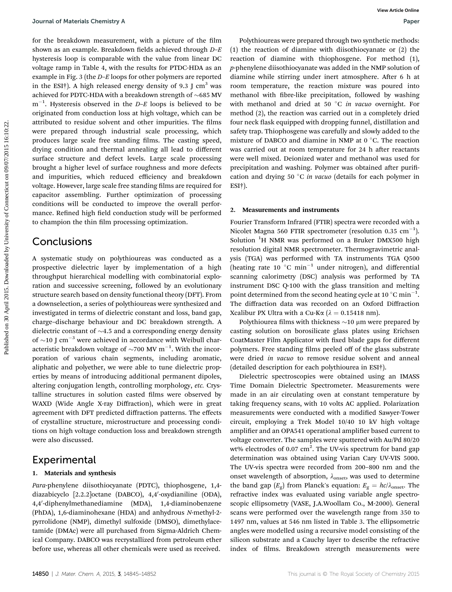for the breakdown measurement, with a picture of the film shown as an example. Breakdown fields achieved through  $D-E$ hysteresis loop is comparable with the value from linear DC voltage ramp in Table 4, with the results for PTDC-HDA as an example in Fig. 3 (the D–E loops for other polymers are reported in the ESI†). A high released energy density of 9.3 J  $cm<sup>3</sup>$  was achieved for PDTC-HDA with a breakdown strength of  $\sim$  685 MV  $\mathrm{m}^{-1}.$  Hysteresis observed in the D–E loops is believed to be originated from conduction loss at high voltage, which can be attributed to residue solvent and other impurities. The films were prepared through industrial scale processing, which produces large scale free standing films. The casting speed, drying condition and thermal annealing all lead to different surface structure and defect levels. Large scale processing brought a higher level of surface roughness and more defects and impurities, which reduced efficiency and breakdown voltage. However, large scale free standing films are required for capacitor assembling. Further optimization of processing conditions will be conducted to improve the overall performance. Refined high field conduction study will be performed to champion the thin film processing optimization. Journal of Meteristic Chemistry A<br>
for the breakdown measurements with a picture of the film relationships of the film relationships of the connecticut on the connecticut on the connecticut on the connecticut of the conne

## Conclusions

A systematic study on polythioureas was conducted as a prospective dielectric layer by implementation of a high throughput hierarchical modelling with combinatorial exploration and successive screening, followed by an evolutionary structure search based on density functional theory (DFT). From a downselection, a series of polythioureas were synthesized and investigated in terms of dielectric constant and loss, band gap, charge–discharge behaviour and DC breakdown strength. A dielectric constant of  $\sim$ 4.5 and a corresponding energy density of  $\sim$ 10 J cm<sup>-3</sup> were achieved in accordance with Weibull characteristic breakdown voltage of  $\sim$ 700 MV m $^{-1}$ . With the incorporation of various chain segments, including aromatic, aliphatic and polyether, we were able to tune dielectric properties by means of introducing additional permanent dipoles, altering conjugation length, controlling morphology, etc. Crystalline structures in solution casted films were observed by WAXD (Wide Angle X-ray Diffraction), which were in great agreement with DFT predicted diffraction patterns. The effects of crystalline structure, microstructure and processing conditions on high voltage conduction loss and breakdown strength were also discussed.

## Experimental

### 1. Materials and synthesis

Para-phenylene diisothiocyanate (PDTC), thiophosgene, 1,4 diazabicyclo [2.2.2]octane (DABCO), 4,4'-oxydianiline (ODA), 4,4'-diphenylmethanediamine (MDA), 1,4-diaminobenzene (PhDA), 1,6-diaminohexane (HDA) and anhydrous N-methyl-2 pyrrolidone (NMP), dimethyl sulfoxide (DMSO), dimethylacetamide (DMAc) were all purchased from Sigma-Aldrich Chemical Company. DABCO was recrystallized from petroleum ether before use, whereas all other chemicals were used as received.

Polythioureas were prepared through two synthetic methods: (1) the reaction of diamine with diisothiocyanate or (2) the reaction of diamine with thiophosgene. For method (1), p-phenylene diisothiocyanate was added in the NMP solution of diamine while stirring under inert atmosphere. After 6 h at room temperature, the reaction mixture was poured into methanol with fibre-like precipitation, followed by washing with methanol and dried at 50  $^{\circ}$ C *in vacuo* overnight. For method (2), the reaction was carried out in a completely dried four neck flask equipped with dropping funnel, distillation and safety trap. Thiophosgene was carefully and slowly added to the mixture of DABCO and diamine in NMP at  $0^{\circ}$ C. The reaction was carried out at room temperature for 24 h after reactants were well mixed. Deionized water and methanol was used for precipitation and washing. Polymer was obtained after purification and drying 50  $\degree$ C *in vacuo* (details for each polymer in ESI†).

### 2. Measurements and instruments

Fourier Transform Infrared (FTIR) spectra were recorded with a Nicolet Magna 560 FTIR spectrometer (resolution 0.35  $\mathrm{cm^{-1}}$ ). Solution <sup>1</sup>H NMR was performed on a Bruker DMX500 high resolution digital NMR spectrometer. Thermogravimetric analysis (TGA) was performed with TA instruments TGA Q500 (heating rate 10  $^{\circ}$ C min<sup>-1</sup> under nitrogen), and differential scanning calorimetry (DSC) analysis was performed by TA instrument DSC Q-100 with the glass transition and melting point determined from the second heating cycle at 10  $^{\circ}$ C min<sup>-1</sup>. The diffraction data was recorded on an Oxford Diffraction Xcalibur PX Ultra with a Cu-K $\alpha$  ( $\lambda = 0.15418$  nm).

Polythiourea films with thickness  $\sim$ 10  $\mu$ m were prepared by casting solution on borosilicate glass plates using Erichsen CoatMaster Film Applicator with fixed blade gaps for different polymers. Free standing films peeled off of the glass substrate were dried in vacuo to remove residue solvent and anneal (detailed description for each polythiourea in ESI†).

Dielectric spectroscopies were obtained using an IMASS Time Domain Dielectric Spectrometer. Measurements were made in an air circulating oven at constant temperature by taking frequency scans, with 10 volts AC applied. Polarization measurements were conducted with a modified Sawyer-Tower circuit, employing a Trek Model 10/40 10 kV high voltage amplifier and an OPA541 operational amplifier based current to voltage converter. The samples were sputtered with Au/Pd 80/20 wt% electrodes of 0.07  $\text{cm}^2$ . The UV-vis spectrum for band gap determination was obtained using Varian Cary UV-VIS 5000. The UV-vis spectra were recorded from 200–800 nm and the onset wavelength of absorption,  $\lambda_{\text{onset}}$ , was used to determine the band gap ( $E_g$ ) from Planck's equation:  $E_g = hc/\lambda_{onset}$ . The refractive index was evaluated using variable angle spectroscopic ellipsometry (VASE, J.A.Woollam Co., M-2000). General scans were performed over the wavelength range from 350 to 1497 nm, values at 546 nm listed in Table 3. The ellipsometric angles were modelled using a recursive model consisting of the silicon substrate and a Cauchy layer to describe the refractive index of films. Breakdown strength measurements were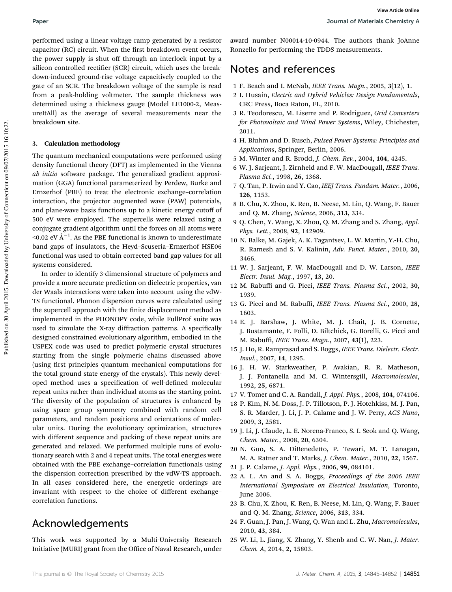performed using a linear voltage ramp generated by a resistor capacitor (RC) circuit. When the first breakdown event occurs, the power supply is shut off through an interlock input by a silicon controlled rectifier (SCR) circuit, which uses the breakdown-induced ground-rise voltage capacitively coupled to the gate of an SCR. The breakdown voltage of the sample is read from a peak-holding voltmeter. The sample thickness was determined using a thickness gauge (Model LE1000-2, MeasureItAll) as the average of several measurements near the breakdown site.

### 3. Calculation methodology

The quantum mechanical computations were performed using density functional theory (DFT) as implemented in the Vienna ab initio software package. The generalized gradient approximation (GGA) functional parameterized by Perdew, Burke and Ernzerhof (PBE) to treat the electronic exchange–correlation interaction, the projector augmented wave (PAW) potentials, and plane-wave basis functions up to a kinetic energy cutoff of 500 eV were employed. The supercells were relaxed using a conjugate gradient algorithm until the forces on all atoms were <0.02 eV  $\AA^{-1}$ . As the PBE functional is known to underestimate band gaps of insulators, the Heyd–Scuseria–Ernzerhof HSE06 functional was used to obtain corrected band gap values for all systems considered. Paper<br>
Paper density a linear voltage tance and generated by a resistor and number 180001-19-09-11. The authors thank JoAnn<br>
capacitor (SCS) circuits and the membersity of Connecticut on 1970. Number of Connecticut on 197

In order to identify 3-dimensional structure of polymers and provide a more accurate prediction on dielectric properties, van der Waals interactions were taken into account using the vdW-TS functional. Phonon dispersion curves were calculated using the supercell approach with the finite displacement method as implemented in the PHONOPY code, while FullProf suite was used to simulate the X-ray diffraction patterns. A specifically designed constrained evolutionary algorithm, embodied in the USPEX code was used to predict polymeric crystal structures starting from the single polymeric chains discussed above (using first principles quantum mechanical computations for the total ground state energy of the crystals). This newly developed method uses a specification of well-defined molecular repeat units rather than individual atoms as the starting point. The diversity of the population of structures is enhanced by using space group symmetry combined with random cell parameters, and random positions and orientations of molecular units. During the evolutionary optimization, structures with different sequence and packing of these repeat units are generated and relaxed. We performed multiple runs of evolutionary search with 2 and 4 repeat units. The total energies were obtained with the PBE exchange–correlation functionals using the dispersion correction prescribed by the vdW-TS approach. In all cases considered here, the energetic orderings are invariant with respect to the choice of different exchange– correlation functions.

## Acknowledgements

This work was supported by a Multi-University Research Initiative (MURI) grant from the Office of Naval Research, under award number N00014-10-0944. The authors thank JoAnne Ronzello for performing the TDDS measurements.

# Notes and references

- 1 F. Beach and I. McNab, IEEE Trans. Magn., 2005, 3(12), 1.
- 2 I. Husain, Electric and Hybrid Vehicles: Design Fundamentals, CRC Press, Boca Raton, FL, 2010.
- 3 R. Teodorescu, M. Liserre and P. Rodríguez, Grid Converters for Photovoltaic and Wind Power Systems, Wiley, Chichester, 2011.
- 4 H. Bluhm and D. Rusch, Pulsed Power Systems: Principles and Applications, Springer, Berlin, 2006.
- 5 M. Winter and R. Brodd, J. Chem. Rev., 2004, 104, 4245.
- 6 W. J. Sarjeant, J. Zirnheld and F. W. MacDougall, IEEE Trans. Plasma Sci., 1998, 26, 1368.
- 7 Q. Tan, P. Irwin and Y. Cao, IEEJ Trans. Fundam. Mater., 2006, 126, 1153.
- 8 B. Chu, X. Zhou, K. Ren, B. Neese, M. Lin, Q. Wang, F. Bauer and Q. M. Zhang, Science, 2006, 313, 334.
- 9 Q. Chen, Y. Wang, X. Zhou, Q. M. Zhang and S. Zhang, Appl. Phys. Lett., 2008, 92, 142909.
- 10 N. Balke, M. Gajek, A. K. Tagantsev, L. W. Martin, Y.-H. Chu, R. Ramesh and S. V. Kalinin, Adv. Funct. Mater., 2010, 20, 3466.
- 11 W. J. Sarjeant, F. W. MacDougall and D. W. Larson, IEEE Electr. Insul. Mag., 1997, 13, 20.
- 12 M. Rabuffi and G. Picci, IEEE Trans. Plasma Sci., 2002, 30, 1939.
- 13 G. Picci and M. Rabuffi, IEEE Trans. Plasma Sci., 2000, 28, 1603.
- 14 E. J. Barshaw, J. White, M. J. Chait, J. B. Cornette, J. Bustamante, F. Folli, D. Biltchick, G. Borelli, G. Picci and M. Rabuffi, IEEE Trans. Magn., 2007, 43(1), 223.
- 15 J. Ho, R. Ramprasad and S. Boggs, IEEE Trans. Dielectr. Electr. Insul., 2007, 14, 1295.
- 16 J. H. W. Starkweather, P. Avakian, R. R. Matheson, J. J. Fontanella and M. C. Wintersgill, Macromolecules, 1992, 25, 6871.
- 17 V. Tomer and C. A. Randall, J. Appl. Phys., 2008, 104, 074106.
- 18 P. Kim, N. M. Doss, J. P. Tillotson, P. J. Hotchkiss, M. J. Pan, S. R. Marder, J. Li, J. P. Calame and J. W. Perry, ACS Nano, 2009, 3, 2581.
- 19 J. Li, J. Claude, L. E. Norena-Franco, S. I. Seok and Q. Wang, Chem. Mater., 2008, 20, 6304.
- 20 N. Guo, S. A. DiBenedetto, P. Tewari, M. T. Lanagan, M. A. Ratner and T. Marks, J. Chem. Mater., 2010, 22, 1567.
- 21 J. P. Calame, J. Appl. Phys., 2006, 99, 084101.
- 22 A. L. An and S. A. Boggs, Proceedings of the 2006 IEEE International Symposium on Electrical Insulation, Toronto, June 2006.
- 23 B. Chu, X. Zhou, K. Ren, B. Neese, M. Lin, Q. Wang, F. Bauer and Q. M. Zhang, Science, 2006, 313, 334.
- 24 F. Guan, J. Pan, J. Wang, Q. Wan and L. Zhu, Macromolecules, 2010, 43, 384.
- 25 W. Li, L. Jiang, X. Zhang, Y. Shenb and C. W. Nan, J. Mater. Chem. A, 2014, 2, 15803.